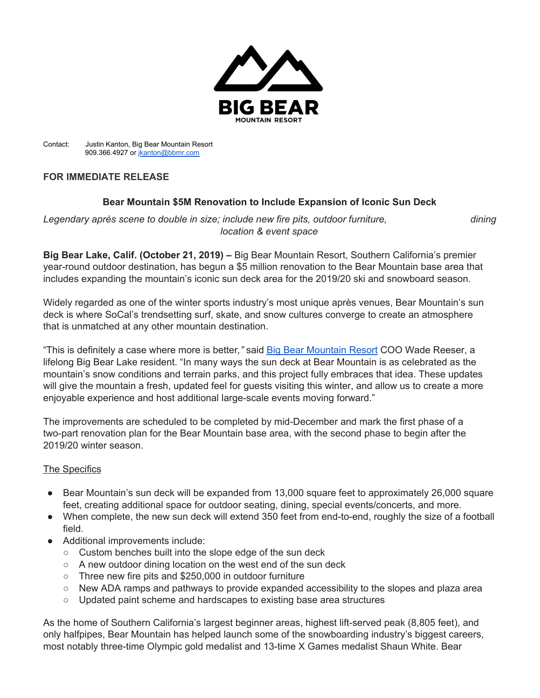

Contact: Justin Kanton, Big Bear Mountain Resort 909.366.4927 or [jkanton@bbmr.com](mailto:jkanton@bbmr.com)

## **FOR IMMEDIATE RELEASE**

## **Bear Mountain \$5M Renovation to Include Expansion of Iconic Sun Deck**

*Legendary après scene to double in size; include new fire pits, outdoor furniture, dining location & event space*

**Big Bear Lake, Calif. (October 21, 2019) –** Big Bear Mountain Resort, Southern California's premier year-round outdoor destination, has begun a \$5 million renovation to the Bear Mountain base area that includes expanding the mountain's iconic sun deck area for the 2019/20 ski and snowboard season.

Widely regarded as one of the winter sports industry's most unique après venues, Bear Mountain's sun deck is where SoCal's trendsetting surf, skate, and snow cultures converge to create an atmosphere that is unmatched at any other mountain destination.

"This is definitely a case where more is better*,"* sai[d](https://www.bigbearmountainresort.com/) Big Bear [Mountain](https://www.bigbearmountainresort.com/) Resort COO Wade Reeser, a lifelong Big Bear Lake resident. "In many ways the sun deck at Bear Mountain is as celebrated as the mountain's snow conditions and terrain parks, and this project fully embraces that idea. These updates will give the mountain a fresh, updated feel for guests visiting this winter, and allow us to create a more enjoyable experience and host additional large-scale events moving forward."

The improvements are scheduled to be completed by mid-December and mark the first phase of a two-part renovation plan for the Bear Mountain base area, with the second phase to begin after the 2019/20 winter season.

## The Specifics

- Bear Mountain's sun deck will be expanded from 13,000 square feet to approximately 26,000 square feet, creating additional space for outdoor seating, dining, special events/concerts, and more.
- When complete, the new sun deck will extend 350 feet from end-to-end, roughly the size of a football field.
- Additional improvements include:
	- Custom benches built into the slope edge of the sun deck
	- A new outdoor dining location on the west end of the sun deck
	- Three new fire pits and \$250,000 in outdoor furniture
	- New ADA ramps and pathways to provide expanded accessibility to the slopes and plaza area
	- Updated paint scheme and hardscapes to existing base area structures

As the home of Southern California's largest beginner areas, highest lift-served peak (8,805 feet), and only halfpipes, Bear Mountain has helped launch some of the snowboarding industry's biggest careers, most notably three-time Olympic gold medalist and 13-time X Games medalist Shaun White. Bear